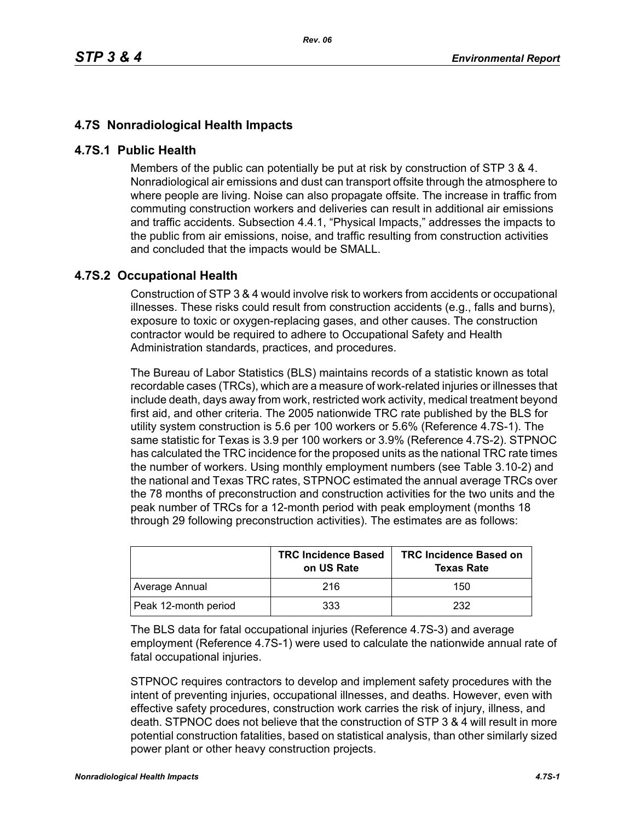## **4.7S Nonradiological Health Impacts**

## **4.7S.1 Public Health**

Members of the public can potentially be put at risk by construction of STP 3 & 4. Nonradiological air emissions and dust can transport offsite through the atmosphere to where people are living. Noise can also propagate offsite. The increase in traffic from commuting construction workers and deliveries can result in additional air emissions and traffic accidents. Subsection 4.4.1, "Physical Impacts," addresses the impacts to the public from air emissions, noise, and traffic resulting from construction activities and concluded that the impacts would be SMALL.

## **4.7S.2 Occupational Health**

Construction of STP 3 & 4 would involve risk to workers from accidents or occupational illnesses. These risks could result from construction accidents (e.g., falls and burns), exposure to toxic or oxygen-replacing gases, and other causes. The construction contractor would be required to adhere to Occupational Safety and Health Administration standards, practices, and procedures.

The Bureau of Labor Statistics (BLS) maintains records of a statistic known as total recordable cases (TRCs), which are a measure of work-related injuries or illnesses that include death, days away from work, restricted work activity, medical treatment beyond first aid, and other criteria. The 2005 nationwide TRC rate published by the BLS for utility system construction is 5.6 per 100 workers or 5.6% (Reference 4.7S-1). The same statistic for Texas is 3.9 per 100 workers or 3.9% (Reference 4.7S-2). STPNOC has calculated the TRC incidence for the proposed units as the national TRC rate times the number of workers. Using monthly employment numbers (see Table 3.10-2) and the national and Texas TRC rates, STPNOC estimated the annual average TRCs over the 78 months of preconstruction and construction activities for the two units and the peak number of TRCs for a 12-month period with peak employment (months 18 through 29 following preconstruction activities). The estimates are as follows:

|                      | <b>TRC Incidence Based</b><br>on US Rate | <b>TRC Incidence Based on</b><br><b>Texas Rate</b> |
|----------------------|------------------------------------------|----------------------------------------------------|
| Average Annual       | 216                                      | 150                                                |
| Peak 12-month period | 333                                      | 232                                                |

The BLS data for fatal occupational injuries (Reference 4.7S-3) and average employment (Reference 4.7S-1) were used to calculate the nationwide annual rate of fatal occupational injuries.

STPNOC requires contractors to develop and implement safety procedures with the intent of preventing injuries, occupational illnesses, and deaths. However, even with effective safety procedures, construction work carries the risk of injury, illness, and death. STPNOC does not believe that the construction of STP 3 & 4 will result in more potential construction fatalities, based on statistical analysis, than other similarly sized power plant or other heavy construction projects.